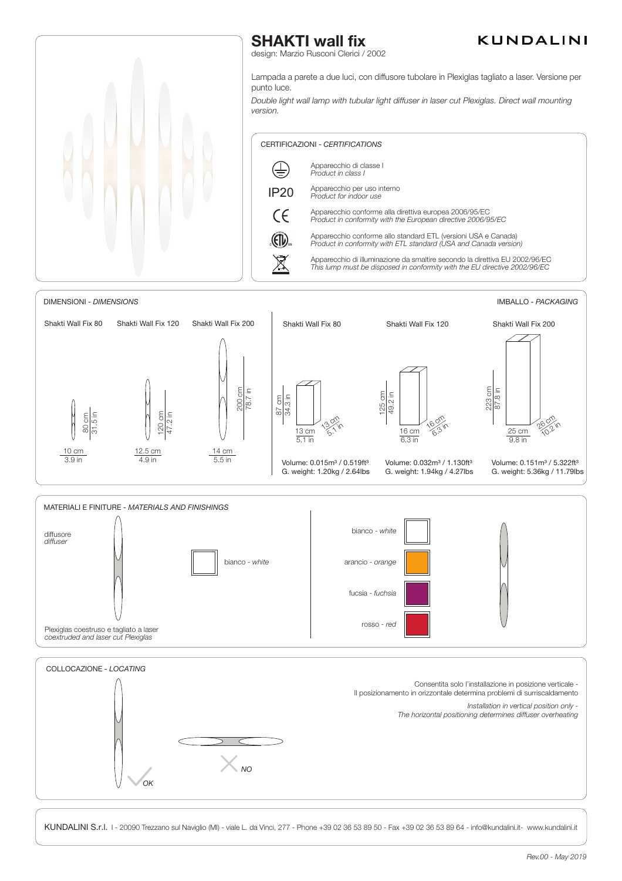

KUNDALINI S.r.l. 1 - 20090 Trezzano sul Naviglio (MI) - viale L. da Vinci, 277 - Phone +39 02 36 53 89 50 - Fax +39 02 36 53 89 64 - info@kundalini.it- www.kundalini.it